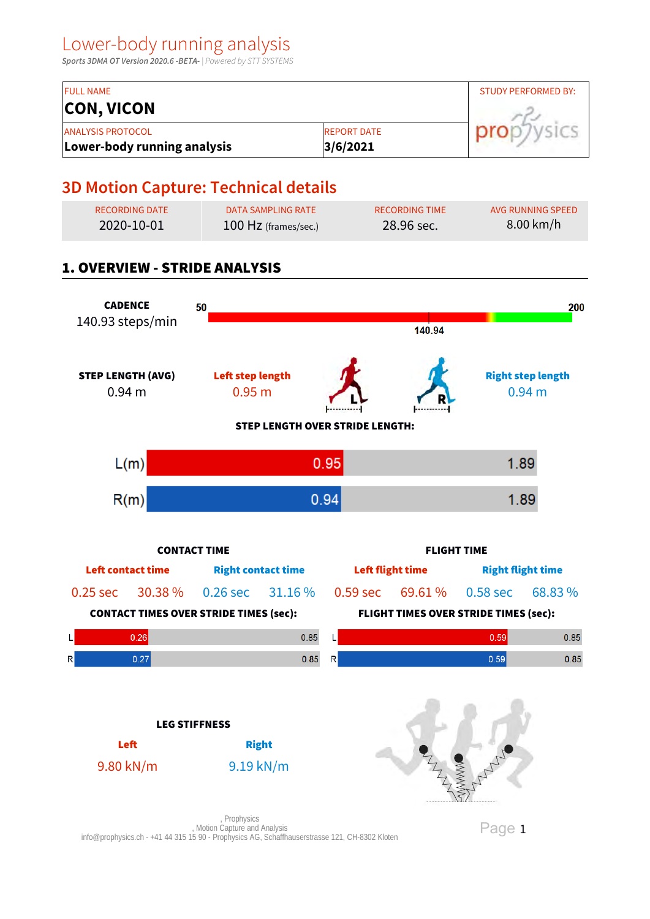**Sports 3DMA OT Version 2020.6 -BETA-** | Powered by STT SYSTEMS

| <b>FULL NAME</b>                                        |                                 | <b>STUDY PERFORMED BY:</b> |
|---------------------------------------------------------|---------------------------------|----------------------------|
| <b>CON, VICON</b>                                       |                                 |                            |
| <b>ANALYSIS PROTOCOL</b><br>Lower-body running analysis | <b>IREPORT DATE</b><br>3/6/2021 |                            |

## **3D Motion Capture: Technical details**

| RECORDING DATE | DATA SAMPLING RATE     | RECORDING TIME | AVG RUNNING SPEED   |
|----------------|------------------------|----------------|---------------------|
| 2020-10-01     | $100$ Hz (frames/sec.) | $28.96$ sec.   | $8.00 \text{ km/h}$ |

## 1. OVERVIEW - STRIDE ANALYSIS



Page 1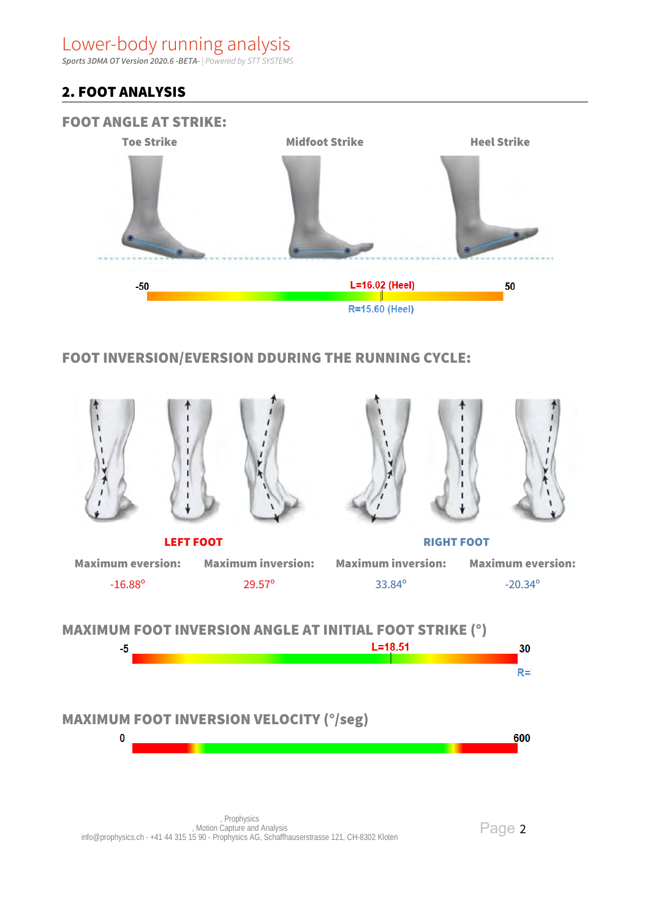**Sports 3DMA OT Version 2020.6 -BETA-** | Powered by STT SYSTEMS

## 2. FOOT ANALYSIS



## FOOT INVERSION/EVERSION DDURING THE RUNNING CYCLE:

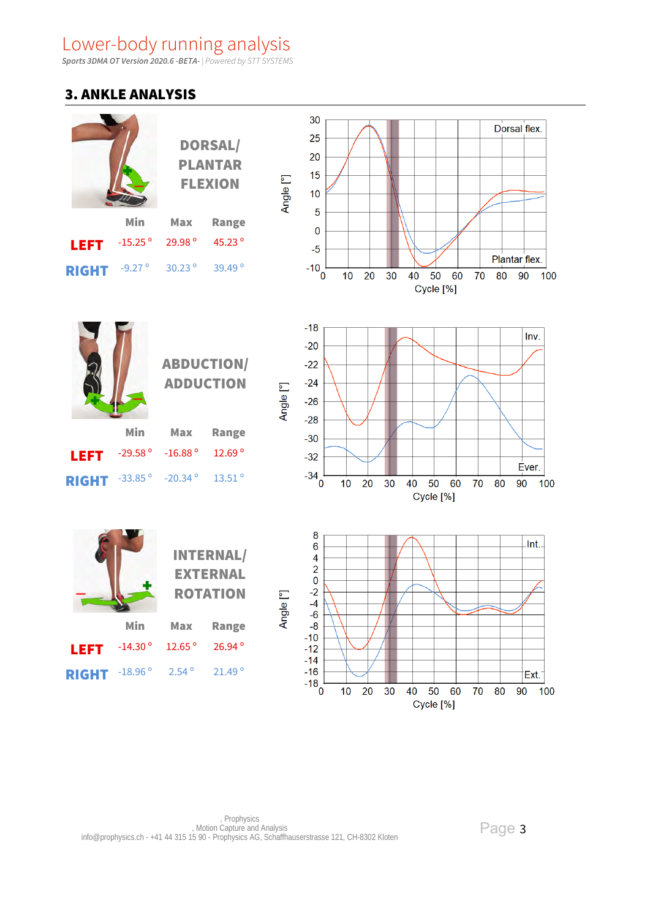**Sports 3DMA OT Version 2020.6 -BETA-** | Powered by STT SYSTEMS

#### 3. ANKLE ANALYSIS



Page 3

Cycle [%]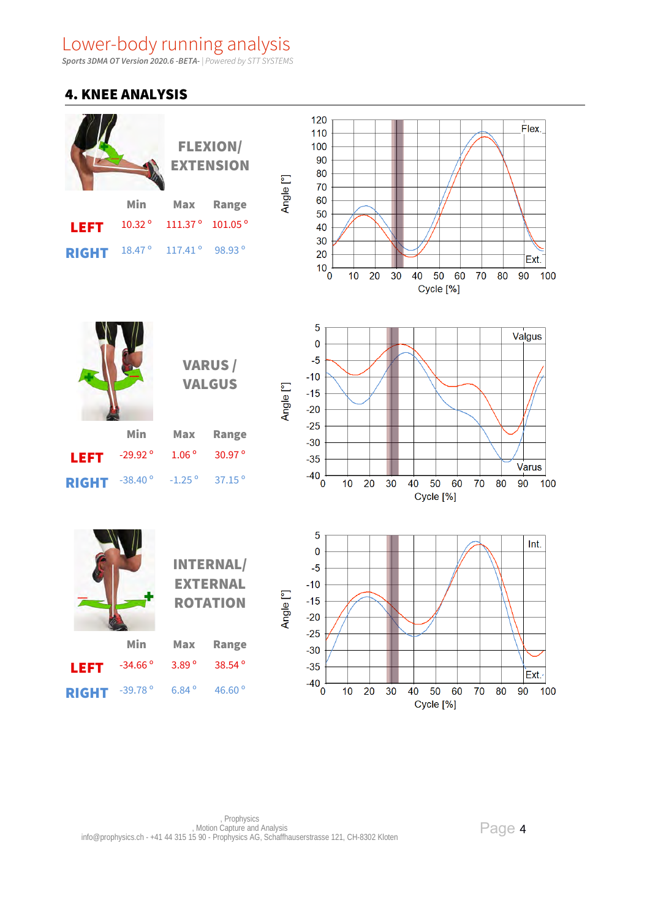**Sports 3DMA OT Version 2020.6 -BETA-** | Powered by STT SYSTEMS

#### 4. KNEE ANALYSIS

|              |                 |                     | <b>FLEXION/</b><br><b>EXTENSION</b> |  |
|--------------|-----------------|---------------------|-------------------------------------|--|
|              | Min             | Max                 | <b>Range</b>                        |  |
| <b>LEFT</b>  | 10.32°          | 111.37 <sup>o</sup> | 101.05 <sup>o</sup>                 |  |
| <b>RIGHT</b> | $18.47^{\circ}$ | $117.41^{\circ}$    | 98.93°                              |  |





VARUS / VALGUS

INTERNAL/

|                      | Min               |                    | Max Range       |
|----------------------|-------------------|--------------------|-----------------|
| LEFT                 | -29.92 $^{\circ}$ | $1.06^{\circ}$     | $30.97^{\circ}$ |
| RIGHT $-38.40^\circ$ |                   | $-1.25$ $^{\circ}$ | $37.15^{\circ}$ |





EXTERNAL ROTATION Min Max Range LEFT -34.66° 3.89° 38.54° RIGHT -39.78° 6.84° 46.60°

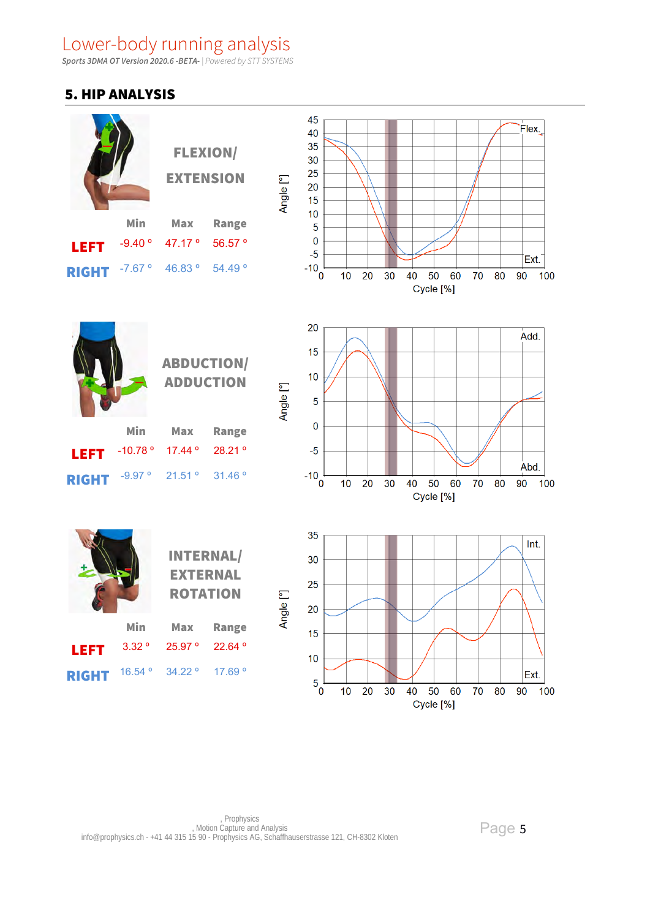**Sports 3DMA OT Version 2020.6 -BETA-** | Powered by STT SYSTEMS

## 5. HIP ANALYSIS

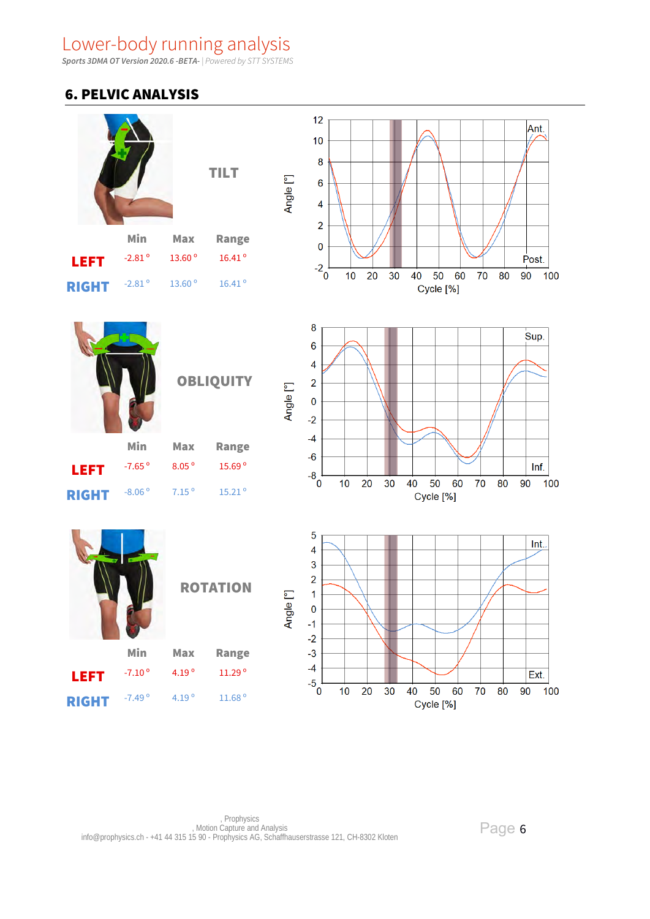**Sports 3DMA OT Version 2020.6 -BETA-** | Powered by STT SYSTEMS

## 6. PELVIC ANALYSIS

|              |                      | <b>TILT</b>        |                    | Angle [°]                        | 12<br>Ant.<br>10<br>$\bf8$<br>$\bf 6$<br>4                                                                |  |
|--------------|----------------------|--------------------|--------------------|----------------------------------|-----------------------------------------------------------------------------------------------------------|--|
|              | Min                  | <b>Max</b>         | <b>Range</b>       |                                  | $\overline{2}$<br>$\pmb{0}$                                                                               |  |
| <b>LEFT</b>  | -2.81 $^{\circ}$     | $13.60$ $^{\rm o}$ | $16.41$ $^{\circ}$ |                                  | Post.<br>$-2^{2}$                                                                                         |  |
| <b>RIGHT</b> | $-2.81$ $^{\rm o}$   | 13.60 <sup>°</sup> | $16.41$ $^{\circ}$ |                                  | 20<br>30<br>50<br>60<br>90<br>100<br>10<br>40<br>70<br>80<br>Cycle [%]                                    |  |
|              |                      |                    | <b>OBLIQUITY</b>   | Angle <sup>[°]</sup>             | 8<br>Sup.<br>$6\phantom{1}6$<br>4<br>$\overline{2}$<br>$\pmb{0}$<br>$-2$                                  |  |
|              | Min                  | <b>Max</b>         | <b>Range</b>       |                                  | $-4$                                                                                                      |  |
| <b>LEFT</b>  | $-7.65$ <sup>o</sup> | 8.05 <sup>o</sup>  | 15.69 <sup>°</sup> |                                  | $-6$<br>Inf.                                                                                              |  |
| <b>RIGHT</b> | $-8.06$ <sup>o</sup> | $7.15o$            | $15.21$ $^{\circ}$ |                                  | $-8^{0}$<br>10<br>20<br>30<br>50<br>60<br>70<br>80<br>90<br>100<br>40<br>Cycle [%]                        |  |
|              |                      |                    | <b>ROTATION</b>    | $\overline{\mathsf{P}}$<br>Angle | $\overline{5}$<br>Int.<br>$\overline{\mathbf{4}}$<br>3<br>$\overline{2}$<br>1<br>$\bf{0}$<br>$-1$<br>$-2$ |  |
|              | Min                  | Max                | <b>Range</b>       |                                  | $-3$                                                                                                      |  |
| <b>LEFT</b>  | $-7.10$ <sup>o</sup> | 4.19 <sup>o</sup>  | 11.29°             |                                  | $-4$<br>Ext.                                                                                              |  |
| <b>RIGHT</b> | $-7.49$ <sup>o</sup> | 4.19 <sup>o</sup>  | $11.68$ $^{\rm o}$ |                                  | $-5^{+}_{0}$<br>50<br>60<br>70<br>10<br>20<br>30<br>40<br>80<br>90<br>100<br>Cycle [%]                    |  |

Page 6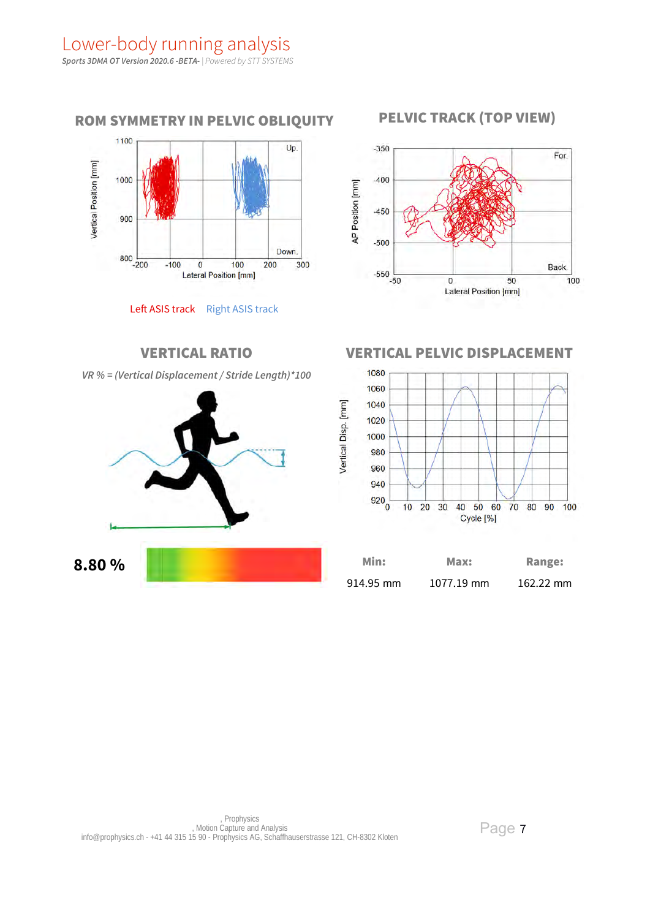

Left ASIS track Right ASIS track







| 914.95 mm | 1077.19 mm | 162.22 mm |
|-----------|------------|-----------|

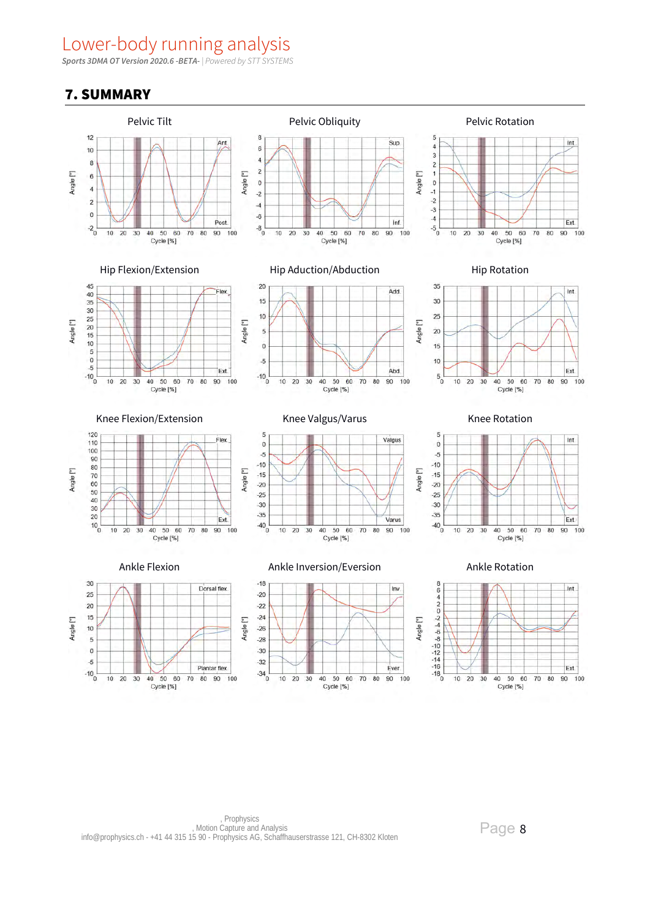**Sports 3DMA OT Version 2020.6 -BETA-** | Powered by STT SYSTEMS

## 7. SUMMARY



**Prophysics** , Motion Capture and Analysis info@prophysics.ch - +41 44 315 15 90 - Prophysics AG, Schaffhauserstrasse 121, CH-8302 Kloten

Page 8